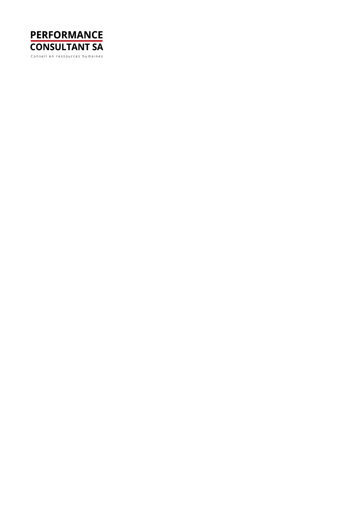